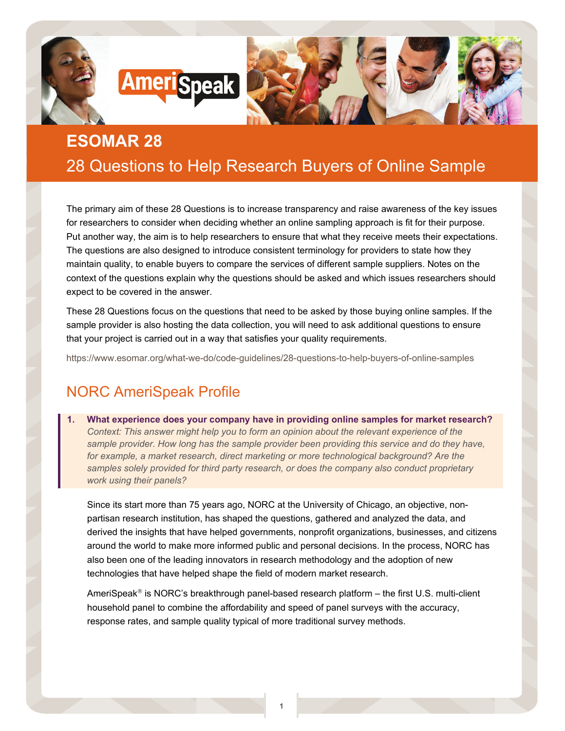

# **ESOMAR 28** 28 Questions to Help Research Buyers of Online Sample

The primary aim of these 28 Questions is to increase transparency and raise awareness of the key issues for researchers to consider when deciding whether an online sampling approach is fit for their purpose. Put another way, the aim is to help researchers to ensure that what they receive meets their expectations. The questions are also designed to introduce consistent terminology for providers to state how they maintain quality, to enable buyers to compare the services of different sample suppliers. Notes on the context of the questions explain why the questions should be asked and which issues researchers should expect to be covered in the answer.

These 28 Questions focus on the questions that need to be asked by those buying online samples. If the sample provider is also hosting the data collection, you will need to ask additional questions to ensure that your project is carried out in a way that satisfies your quality requirements.

<https://www.esomar.org/what-we-do/code-guidelines/28-questions-to-help-buyers-of-online-samples>

## NORC AmeriSpeak Profile

**1. What experience does your company have in providing online samples for market research?** *Context: This answer might help you to form an opinion about the relevant experience of the sample provider. How long has the sample provider been providing this service and do they have,*  for example, a market research, direct marketing or more technological background? Are the *samples solely provided for third party research, or does the company also conduct proprietary work using their panels?*

Since its start more than 75 years ago, NORC at the University of Chicago, an objective, nonpartisan research institution, has shaped the questions, gathered and analyzed the data, and derived the insights that have helped governments, nonprofit organizations, businesses, and citizens around the world to make more informed public and personal decisions. In the process, NORC has also been one of the leading innovators in research methodology and the adoption of new technologies that have helped shape the field of modern market research.

AmeriSpeak<sup>®</sup> is NORC's breakthrough panel-based research platform  $-$  the first U.S. multi-client household panel to combine the affordability and speed of panel surveys with the accuracy, response rates, and sample quality typical of more traditional survey methods.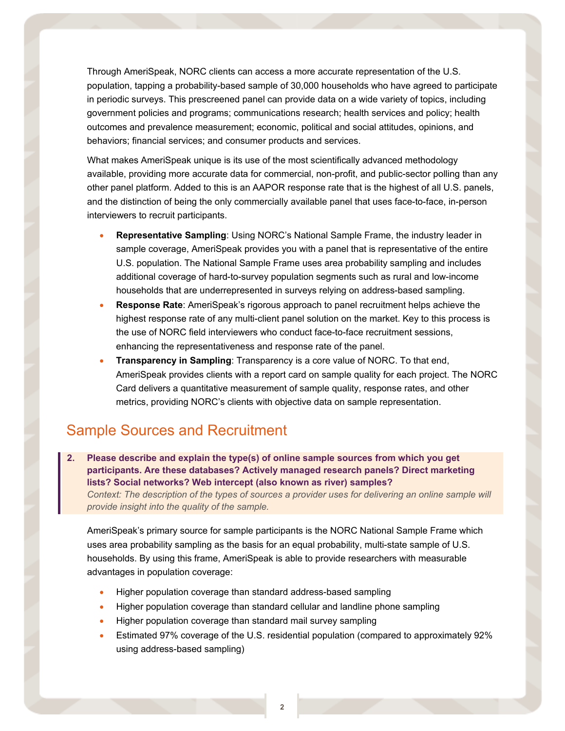Through AmeriSpeak, NORC clients can access a more accurate representation of the U.S. population, tapping a probability-based sample of 30,000 households who have agreed to participate in periodic surveys. This prescreened panel can provide data on a wide variety of topics, including government policies and programs; communications research; health services and policy; health outcomes and prevalence measurement; economic, political and social attitudes, opinions, and behaviors; financial services; and consumer products and services.

What makes AmeriSpeak unique is its use of the most scientifically advanced methodology available, providing more accurate data for commercial, non-profit, and public-sector polling than any other panel platform. Added to this is an AAPOR response rate that is the highest of all U.S. panels, and the distinction of being the only commercially available panel that uses face-to-face, in-person interviewers to recruit participants.

- **Representative Sampling**: Using NORC's National Sample Frame, the industry leader in sample coverage, AmeriSpeak provides you with a panel that is representative of the entire U.S. population. The National Sample Frame uses area probability sampling and includes additional coverage of hard-to-survey population segments such as rural and low-income households that are underrepresented in surveys relying on address-based sampling.
- **Response Rate**: AmeriSpeak's rigorous approach to panel recruitment helps achieve the highest response rate of any multi-client panel solution on the market. Key to this process is the use of NORC field interviewers who conduct face-to-face recruitment sessions, enhancing the representativeness and response rate of the panel.
- **Transparency in Sampling**: Transparency is a core value of NORC. To that end, AmeriSpeak provides clients with a report card on sample quality for each project. The NORC Card delivers a quantitative measurement of sample quality, response rates, and other metrics, providing NORC's clients with objective data on sample representation.

## Sample Sources and Recruitment

**2. Please describe and explain the type(s) of online sample sources from which you get participants. Are these databases? Actively managed research panels? Direct marketing lists? Social networks? Web intercept (also known as river) samples?**  *Context: The description of the types of sources a provider uses for delivering an online sample will provide insight into the quality of the sample.*

AmeriSpeak's primary source for sample participants is the NORC National Sample Frame which uses area probability sampling as the basis for an equal probability, multi-state sample of U.S. households. By using this frame, AmeriSpeak is able to provide researchers with measurable advantages in population coverage:

- Higher population coverage than standard address-based sampling
- Higher population coverage than standard cellular and landline phone sampling
- Higher population coverage than standard mail survey sampling
- Estimated 97% coverage of the U.S. residential population (compared to approximately 92% using address-based sampling)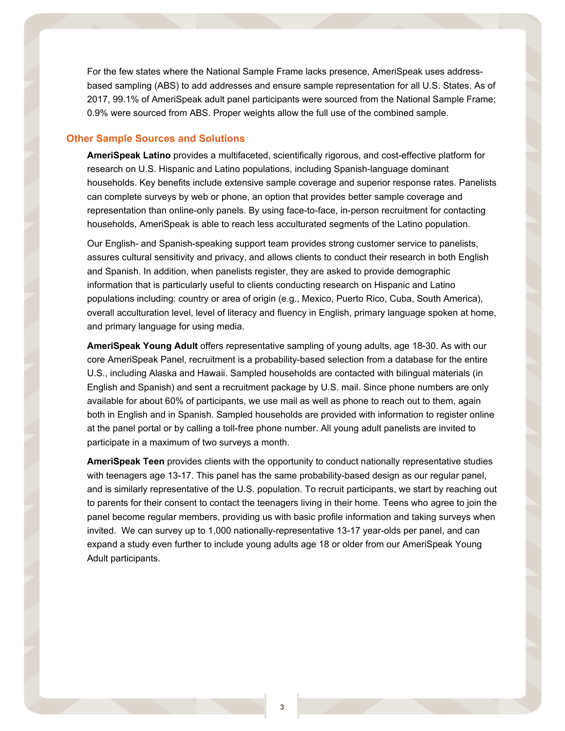For the few states where the National Sample Frame lacks presence, AmeriSpeak uses addressbased sampling (ABS) to add addresses and ensure sample representation for all U.S. States. As of 2017, 99.1% of AmeriSpeak adult panel participants were sourced from the National Sample Frame; 0.9% were sourced from ABS. Proper weights allow the full use of the combined sample.

#### **Other Sample Sources and Solutions**

**AmeriSpeak Latino** provides a multifaceted, scientifically rigorous, and cost-effective platform for research on U.S. Hispanic and Latino populations, including Spanish-language dominant households. Key benefits include extensive sample coverage and superior response rates. Panelists can complete surveys by web or phone, an option that provides better sample coverage and representation than online-only panels. By using face-to-face, in-person recruitment for contacting households, AmeriSpeak is able to reach less acculturated segments of the Latino population.

Our English- and Spanish-speaking support team provides strong customer service to panelists, assures cultural sensitivity and privacy, and allows clients to conduct their research in both English and Spanish. In addition, when panelists register, they are asked to provide demographic information that is particularly useful to clients conducting research on Hispanic and Latino populations including: country or area of origin (e.g., Mexico, Puerto Rico, Cuba, South America), overall acculturation level, level of literacy and fluency in English, primary language spoken at home, and primary language for using media.

**AmeriSpeak Young Adult** offers representative sampling of young adults, age 18-30. As with our core AmeriSpeak Panel, recruitment is a probability-based selection from a database for the entire U.S., including Alaska and Hawaii. Sampled households are contacted with bilingual materials (in English and Spanish) and sent a recruitment package by U.S. mail. Since phone numbers are only available for about 60% of participants, we use mail as well as phone to reach out to them, again both in English and in Spanish. Sampled households are provided with information to register online at the panel portal or by calling a toll-free phone number. All young adult panelists are invited to participate in a maximum of two surveys a month.

**AmeriSpeak Teen** provides clients with the opportunity to conduct nationally representative studies with teenagers age 13-17. This panel has the same probability-based design as our regular panel, and is similarly representative of the U.S. population. To recruit participants, we start by reaching out to parents for their consent to contact the teenagers living in their home. Teens who agree to join the panel become regular members, providing us with basic profile information and taking surveys when invited. We can survey up to 1,000 nationally-representative 13-17 year-olds per panel, and can expand a study even further to include young adults age 18 or older from our AmeriSpeak Young Adult participants.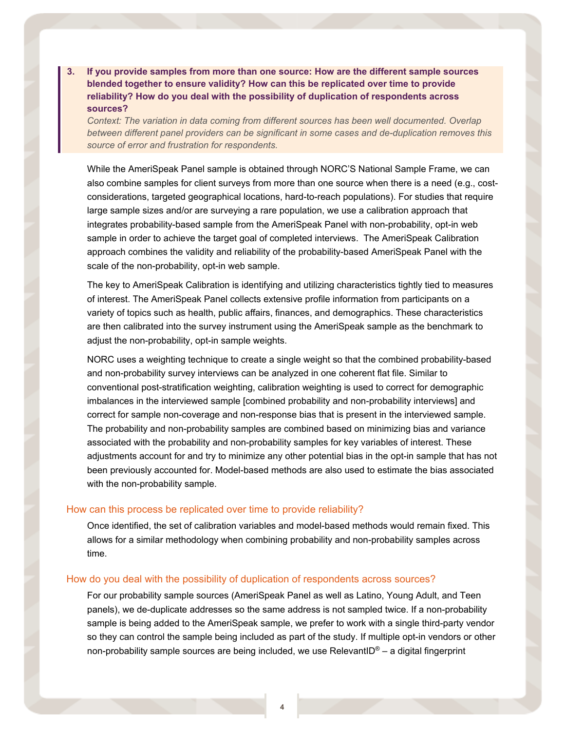**3. If you provide samples from more than one source: How are the different sample sources blended together to ensure validity? How can this be replicated over time to provide reliability? How do you deal with the possibility of duplication of respondents across sources?** 

*Context: The variation in data coming from different sources has been well documented. Overlap between different panel providers can be significant in some cases and de-duplication removes this source of error and frustration for respondents.*

While the AmeriSpeak Panel sample is obtained through NORC'S National Sample Frame, we can also combine samples for client surveys from more than one source when there is a need (e.g., costconsiderations, targeted geographical locations, hard-to-reach populations). For studies that require large sample sizes and/or are surveying a rare population, we use a calibration approach that integrates probability-based sample from the AmeriSpeak Panel with non-probability, opt-in web sample in order to achieve the target goal of completed interviews. The AmeriSpeak Calibration approach combines the validity and reliability of the probability-based AmeriSpeak Panel with the scale of the non-probability, opt-in web sample.

The key to AmeriSpeak Calibration is identifying and utilizing characteristics tightly tied to measures of interest. The AmeriSpeak Panel collects extensive profile information from participants on a variety of topics such as health, public affairs, finances, and demographics. These characteristics are then calibrated into the survey instrument using the AmeriSpeak sample as the benchmark to adjust the non-probability, opt-in sample weights.

NORC uses a weighting technique to create a single weight so that the combined probability-based and non-probability survey interviews can be analyzed in one coherent flat file. Similar to conventional post-stratification weighting, calibration weighting is used to correct for demographic imbalances in the interviewed sample [combined probability and non-probability interviews] and correct for sample non-coverage and non-response bias that is present in the interviewed sample. The probability and non-probability samples are combined based on minimizing bias and variance associated with the probability and non-probability samples for key variables of interest. These adjustments account for and try to minimize any other potential bias in the opt-in sample that has not been previously accounted for. Model-based methods are also used to estimate the bias associated with the non-probability sample.

#### How can this process be replicated over time to provide reliability?

Once identified, the set of calibration variables and model-based methods would remain fixed. This allows for a similar methodology when combining probability and non-probability samples across time.

#### How do you deal with the possibility of duplication of respondents across sources?

For our probability sample sources (AmeriSpeak Panel as well as Latino, Young Adult, and Teen panels), we de-duplicate addresses so the same address is not sampled twice. If a non-probability sample is being added to the AmeriSpeak sample, we prefer to work with a single third-party vendor so they can control the sample being included as part of the study. If multiple opt-in vendors or other non-probability sample sources are being included, we use RelevantID<sup>®</sup> – a digital fingerprint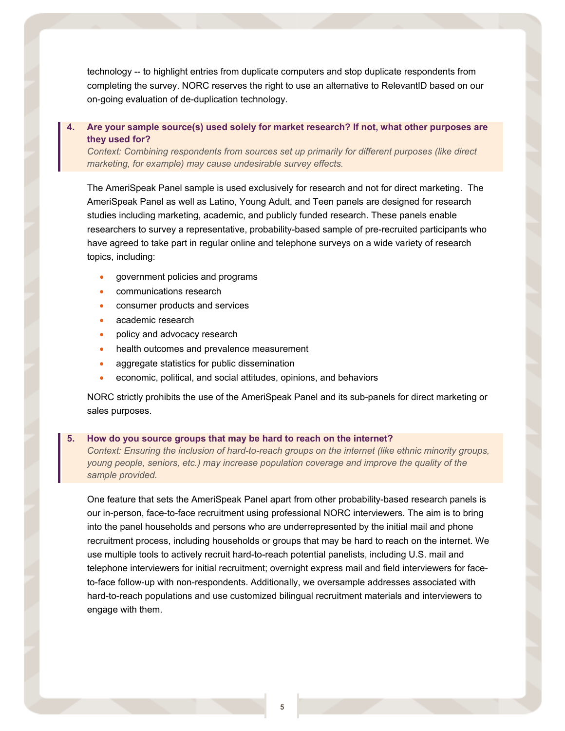technology -- to highlight entries from duplicate computers and stop duplicate respondents from completing the survey. NORC reserves the right to use an alternative to RelevantID based on our on-going evaluation of de-duplication technology.

### **4. Are your sample source(s) used solely for market research? If not, what other purposes are they used for?**

*Context: Combining respondents from sources set up primarily for different purposes (like direct marketing, for example) may cause undesirable survey effects.*

The AmeriSpeak Panel sample is used exclusively for research and not for direct marketing. The AmeriSpeak Panel as well as Latino, Young Adult, and Teen panels are designed for research studies including marketing, academic, and publicly funded research. These panels enable researchers to survey a representative, probability-based sample of pre-recruited participants who have agreed to take part in regular online and telephone surveys on a wide variety of research topics, including:

- government policies and programs
- communications research
- consumer products and services
- academic research
- policy and advocacy research
- health outcomes and prevalence measurement
- aggregate statistics for public dissemination
- economic, political, and social attitudes, opinions, and behaviors

NORC strictly prohibits the use of the AmeriSpeak Panel and its sub-panels for direct marketing or sales purposes.

#### **5. How do you source groups that may be hard to reach on the internet?**

*Context: Ensuring the inclusion of hard-to-reach groups on the internet (like ethnic minority groups, young people, seniors, etc.) may increase population coverage and improve the quality of the sample provided.* 

One feature that sets the AmeriSpeak Panel apart from other probability-based research panels is our in-person, face-to-face recruitment using professional NORC interviewers. The aim is to bring into the panel households and persons who are underrepresented by the initial mail and phone recruitment process, including households or groups that may be hard to reach on the internet. We use multiple tools to actively recruit hard-to-reach potential panelists, including U.S. mail and telephone interviewers for initial recruitment; overnight express mail and field interviewers for faceto-face follow-up with non-respondents. Additionally, we oversample addresses associated with hard-to-reach populations and use customized bilingual recruitment materials and interviewers to engage with them.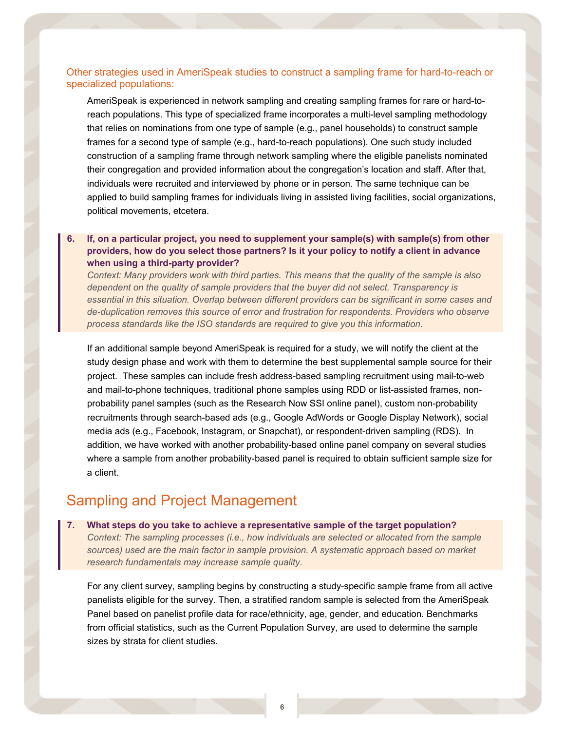#### Other strategies used in AmeriSpeak studies to construct a sampling frame for hard-to-reach or specialized populations:

AmeriSpeak is experienced in network sampling and creating sampling frames for rare or hard-toreach populations. This type of specialized frame incorporates a multi-level sampling methodology that relies on nominations from one type of sample (e.g., panel households) to construct sample frames for a second type of sample (e.g., hard-to-reach populations). One such study included construction of a sampling frame through network sampling where the eligible panelists nominated their congregation and provided information about the congregation's location and staff. After that, individuals were recruited and interviewed by phone or in person. The same technique can be applied to build sampling frames for individuals living in assisted living facilities, social organizations, political movements, etcetera.

### **6. If, on a particular project, you need to supplement your sample(s) with sample(s) from other providers, how do you select those partners? Is it your policy to notify a client in advance when using a third-party provider?**

*Context: Many providers work with third parties. This means that the quality of the sample is also dependent on the quality of sample providers that the buyer did not select. Transparency is essential in this situation. Overlap between different providers can be significant in some cases and de-duplication removes this source of error and frustration for respondents. Providers who observe process standards like the ISO standards are required to give you this information.* 

If an additional sample beyond AmeriSpeak is required for a study, we will notify the client at the study design phase and work with them to determine the best supplemental sample source for their project. These samples can include fresh address-based sampling recruitment using mail-to-web and mail-to-phone techniques, traditional phone samples using RDD or list-assisted frames, nonprobability panel samples (such as the Research Now SSI online panel), custom non-probability recruitments through search-based ads (e.g., Google AdWords or Google Display Network), social media ads (e.g., Facebook, Instagram, or Snapchat), or respondent-driven sampling (RDS). In addition, we have worked with another probability-based online panel company on several studies where a sample from another probability-based panel is required to obtain sufficient sample size for a client.

## Sampling and Project Management

#### **7. What steps do you take to achieve a representative sample of the target population?**

*Context: The sampling processes (i.e., how individuals are selected or allocated from the sample sources) used are the main factor in sample provision. A systematic approach based on market research fundamentals may increase sample quality.*

For any client survey, sampling begins by constructing a study-specific sample frame from all active panelists eligible for the survey. Then, a stratified random sample is selected from the AmeriSpeak Panel based on panelist profile data for race/ethnicity, age, gender, and education. Benchmarks from official statistics, such as the Current Population Survey, are used to determine the sample sizes by strata for client studies.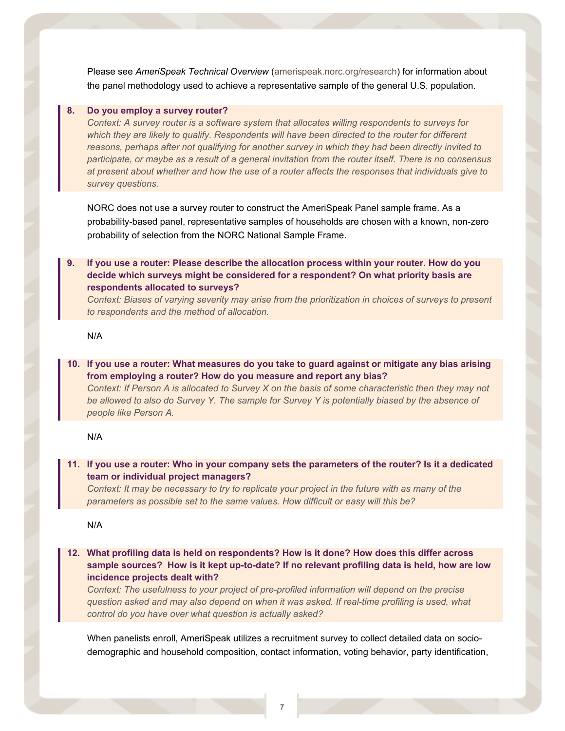Please see *AmeriSpeak Technical Overview* [\(amerispeak.norc.org/research\)](file://norc.org/projects/CommDept/Common/Amerispeak/NORC%20AMERISPEAK%20-%20ESOMAR%2028/amerispeak.norc.org/research) for information about the panel methodology used to achieve a representative sample of the general U.S. population.

#### **8. Do you employ a survey router?**

*Context: A survey router is a software system that allocates willing respondents to surveys for which they are likely to qualify. Respondents will have been directed to the router for different reasons, perhaps after not qualifying for another survey in which they had been directly invited to participate, or maybe as a result of a general invitation from the router itself. There is no consensus at present about whether and how the use of a router affects the responses that individuals give to survey questions.*

NORC does not use a survey router to construct the AmeriSpeak Panel sample frame. As a probability-based panel, representative samples of households are chosen with a known, non-zero probability of selection from the NORC National Sample Frame.

**9. If you use a router: Please describe the allocation process within your router. How do you decide which surveys might be considered for a respondent? On what priority basis are respondents allocated to surveys?**

*Context: Biases of varying severity may arise from the prioritization in choices of surveys to present to respondents and the method of allocation.*

N/A

**10. If you use a router: What measures do you take to guard against or mitigate any bias arising from employing a router? How do you measure and report any bias?** *Context: If Person A is allocated to Survey X on the basis of some characteristic then they may not be allowed to also do Survey Y. The sample for Survey Y is potentially biased by the absence of people like Person A.* 

#### N/A

**11. If you use a router: Who in your company sets the parameters of the router? Is it a dedicated team or individual project managers?** 

*Context: It may be necessary to try to replicate your project in the future with as many of the parameters as possible set to the same values. How difficult or easy will this be?* 

N/A

**12. What profiling data is held on respondents? How is it done? How does this differ across sample sources? How is it kept up-to-date? If no relevant profiling data is held, how are low incidence projects dealt with?**

*Context: The usefulness to your project of pre-profiled information will depend on the precise question asked and may also depend on when it was asked. If real-time profiling is used, what control do you have over what question is actually asked?*

When panelists enroll, AmeriSpeak utilizes a recruitment survey to collect detailed data on sociodemographic and household composition, contact information, voting behavior, party identification,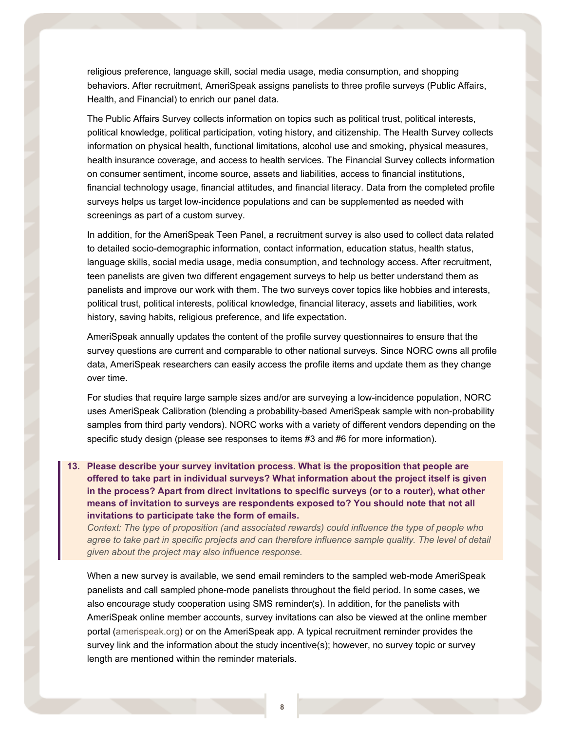religious preference, language skill, social media usage, media consumption, and shopping behaviors. After recruitment, AmeriSpeak assigns panelists to three profile surveys (Public Affairs, Health, and Financial) to enrich our panel data.

The Public Affairs Survey collects information on topics such as political trust, political interests, political knowledge, political participation, voting history, and citizenship. The Health Survey collects information on physical health, functional limitations, alcohol use and smoking, physical measures, health insurance coverage, and access to health services. The Financial Survey collects information on consumer sentiment, income source, assets and liabilities, access to financial institutions, financial technology usage, financial attitudes, and financial literacy. Data from the completed profile surveys helps us target low-incidence populations and can be supplemented as needed with screenings as part of a custom survey.

In addition, for the AmeriSpeak Teen Panel, a recruitment survey is also used to collect data related to detailed socio-demographic information, contact information, education status, health status, language skills, social media usage, media consumption, and technology access. After recruitment, teen panelists are given two different engagement surveys to help us better understand them as panelists and improve our work with them. The two surveys cover topics like hobbies and interests, political trust, political interests, political knowledge, financial literacy, assets and liabilities, work history, saving habits, religious preference, and life expectation.

AmeriSpeak annually updates the content of the profile survey questionnaires to ensure that the survey questions are current and comparable to other national surveys. Since NORC owns all profile data, AmeriSpeak researchers can easily access the profile items and update them as they change over time.

For studies that require large sample sizes and/or are surveying a low-incidence population, NORC uses AmeriSpeak Calibration (blending a probability-based AmeriSpeak sample with non-probability samples from third party vendors). NORC works with a variety of different vendors depending on the specific study design (please see responses to items #3 and #6 for more information).

**13. Please describe your survey invitation process. What is the proposition that people are offered to take part in individual surveys? What information about the project itself is given in the process? Apart from direct invitations to specific surveys (or to a router), what other means of invitation to surveys are respondents exposed to? You should note that not all invitations to participate take the form of emails.** 

*Context: The type of proposition (and associated rewards) could influence the type of people who*  agree to take part in specific projects and can therefore influence sample quality. The level of detail *given about the project may also influence response.*

When a new survey is available, we send email reminders to the sampled web-mode AmeriSpeak panelists and call sampled phone-mode panelists throughout the field period. In some cases, we also encourage study cooperation using SMS reminder(s). In addition, for the panelists with AmeriSpeak online member accounts, survey invitations can also be viewed at the online member portal [\(amerispeak.org\)](file://norc.org/projects/CommDept/Common/Amerispeak/NORC%20AMERISPEAK%20-%20ESOMAR%2028/amerispeak.org/) or on the AmeriSpeak app. A typical recruitment reminder provides the survey link and the information about the study incentive(s); however, no survey topic or survey length are mentioned within the reminder materials.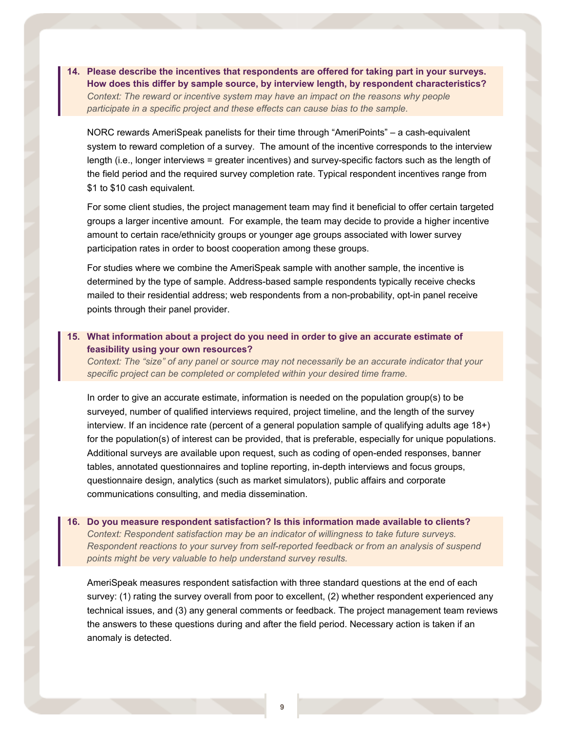**14. Please describe the incentives that respondents are offered for taking part in your surveys. How does this differ by sample source, by interview length, by respondent characteristics?**  *Context: The reward or incentive system may have an impact on the reasons why people participate in a specific project and these effects can cause bias to the sample.*

NORC rewards AmeriSpeak panelists for their time through "AmeriPoints" – a cash-equivalent system to reward completion of a survey. The amount of the incentive corresponds to the interview length (i.e., longer interviews = greater incentives) and survey-specific factors such as the length of the field period and the required survey completion rate. Typical respondent incentives range from \$1 to \$10 cash equivalent.

For some client studies, the project management team may find it beneficial to offer certain targeted groups a larger incentive amount. For example, the team may decide to provide a higher incentive amount to certain race/ethnicity groups or younger age groups associated with lower survey participation rates in order to boost cooperation among these groups.

For studies where we combine the AmeriSpeak sample with another sample, the incentive is determined by the type of sample. Address-based sample respondents typically receive checks mailed to their residential address; web respondents from a non-probability, opt-in panel receive points through their panel provider.

#### **15. What information about a project do you need in order to give an accurate estimate of feasibility using your own resources?**

*Context: The "size" of any panel or source may not necessarily be an accurate indicator that your specific project can be completed or completed within your desired time frame.*

In order to give an accurate estimate, information is needed on the population group(s) to be surveyed, number of qualified interviews required, project timeline, and the length of the survey interview. If an incidence rate (percent of a general population sample of qualifying adults age 18+) for the population(s) of interest can be provided, that is preferable, especially for unique populations. Additional surveys are available upon request, such as coding of open-ended responses, banner tables, annotated questionnaires and topline reporting, in-depth interviews and focus groups, questionnaire design, analytics (such as market simulators), public affairs and corporate communications consulting, and media dissemination.

### **16. Do you measure respondent satisfaction? Is this information made available to clients?**  *Context: Respondent satisfaction may be an indicator of willingness to take future surveys. Respondent reactions to your survey from self-reported feedback or from an analysis of suspend points might be very valuable to help understand survey results.*

AmeriSpeak measures respondent satisfaction with three standard questions at the end of each survey: (1) rating the survey overall from poor to excellent, (2) whether respondent experienced any technical issues, and (3) any general comments or feedback. The project management team reviews the answers to these questions during and after the field period. Necessary action is taken if an anomaly is detected.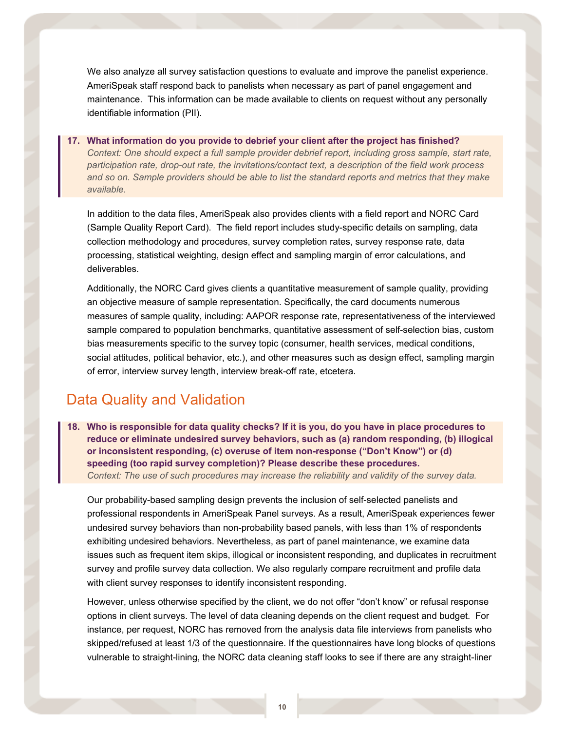We also analyze all survey satisfaction questions to evaluate and improve the panelist experience. AmeriSpeak staff respond back to panelists when necessary as part of panel engagement and maintenance. This information can be made available to clients on request without any personally identifiable information (PII).

### **17. What information do you provide to debrief your client after the project has finished?** *Context: One should expect a full sample provider debrief report, including gross sample, start rate, participation rate, drop-out rate, the invitations/contact text, a description of the field work process and so on. Sample providers should be able to list the standard reports and metrics that they make available.*

In addition to the data files, AmeriSpeak also provides clients with a field report and NORC Card (Sample Quality Report Card). The field report includes study-specific details on sampling, data collection methodology and procedures, survey completion rates, survey response rate, data processing, statistical weighting, design effect and sampling margin of error calculations, and deliverables.

Additionally, the NORC Card gives clients a quantitative measurement of sample quality, providing an objective measure of sample representation. Specifically, the card documents numerous measures of sample quality, including: AAPOR response rate, representativeness of the interviewed sample compared to population benchmarks, quantitative assessment of self-selection bias, custom bias measurements specific to the survey topic (consumer, health services, medical conditions, social attitudes, political behavior, etc.), and other measures such as design effect, sampling margin of error, interview survey length, interview break-off rate, etcetera.

## Data Quality and Validation

**18. Who is responsible for data quality checks? If it is you, do you have in place procedures to reduce or eliminate undesired survey behaviors, such as (a) random responding, (b) illogical or inconsistent responding, (c) overuse of item non-response ("Don't Know") or (d) speeding (too rapid survey completion)? Please describe these procedures.**  *Context: The use of such procedures may increase the reliability and validity of the survey data.*

Our probability-based sampling design prevents the inclusion of self-selected panelists and professional respondents in AmeriSpeak Panel surveys. As a result, AmeriSpeak experiences fewer undesired survey behaviors than non-probability based panels, with less than 1% of respondents exhibiting undesired behaviors. Nevertheless, as part of panel maintenance, we examine data issues such as frequent item skips, illogical or inconsistent responding, and duplicates in recruitment survey and profile survey data collection. We also regularly compare recruitment and profile data with client survey responses to identify inconsistent responding.

However, unless otherwise specified by the client, we do not offer "don't know" or refusal response options in client surveys. The level of data cleaning depends on the client request and budget. For instance, per request, NORC has removed from the analysis data file interviews from panelists who skipped/refused at least 1/3 of the questionnaire. If the questionnaires have long blocks of questions vulnerable to straight-lining, the NORC data cleaning staff looks to see if there are any straight-liner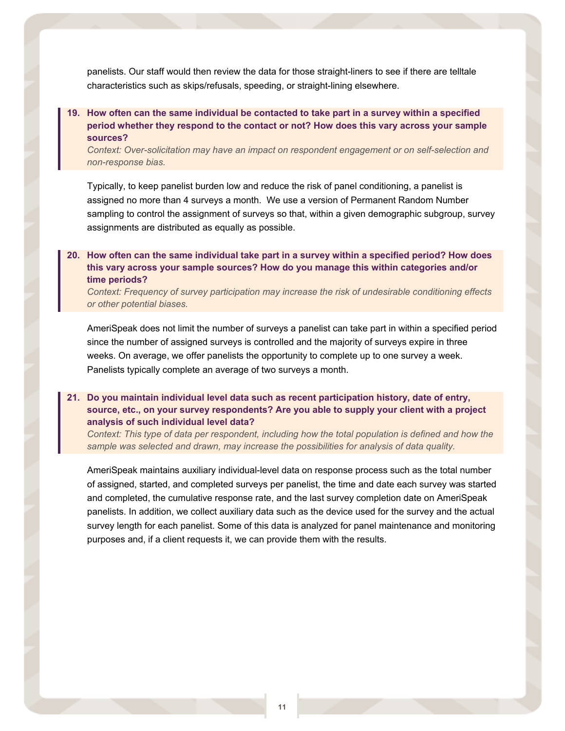panelists. Our staff would then review the data for those straight-liners to see if there are telltale characteristics such as skips/refusals, speeding, or straight-lining elsewhere.

## **19. How often can the same individual be contacted to take part in a survey within a specified period whether they respond to the contact or not? How does this vary across your sample sources?**

*Context: Over-solicitation may have an impact on respondent engagement or on self-selection and non-response bias.*

Typically, to keep panelist burden low and reduce the risk of panel conditioning, a panelist is assigned no more than 4 surveys a month. We use a version of Permanent Random Number sampling to control the assignment of surveys so that, within a given demographic subgroup, survey assignments are distributed as equally as possible.

#### **20. How often can the same individual take part in a survey within a specified period? How does this vary across your sample sources? How do you manage this within categories and/or time periods?**

*Context: Frequency of survey participation may increase the risk of undesirable conditioning effects or other potential biases.* 

AmeriSpeak does not limit the number of surveys a panelist can take part in within a specified period since the number of assigned surveys is controlled and the majority of surveys expire in three weeks. On average, we offer panelists the opportunity to complete up to one survey a week. Panelists typically complete an average of two surveys a month.

### **21. Do you maintain individual level data such as recent participation history, date of entry, source, etc., on your survey respondents? Are you able to supply your client with a project analysis of such individual level data?**

*Context: This type of data per respondent, including how the total population is defined and how the sample was selected and drawn, may increase the possibilities for analysis of data quality.* 

AmeriSpeak maintains auxiliary individual-level data on response process such as the total number of assigned, started, and completed surveys per panelist, the time and date each survey was started and completed, the cumulative response rate, and the last survey completion date on AmeriSpeak panelists. In addition, we collect auxiliary data such as the device used for the survey and the actual survey length for each panelist. Some of this data is analyzed for panel maintenance and monitoring purposes and, if a client requests it, we can provide them with the results.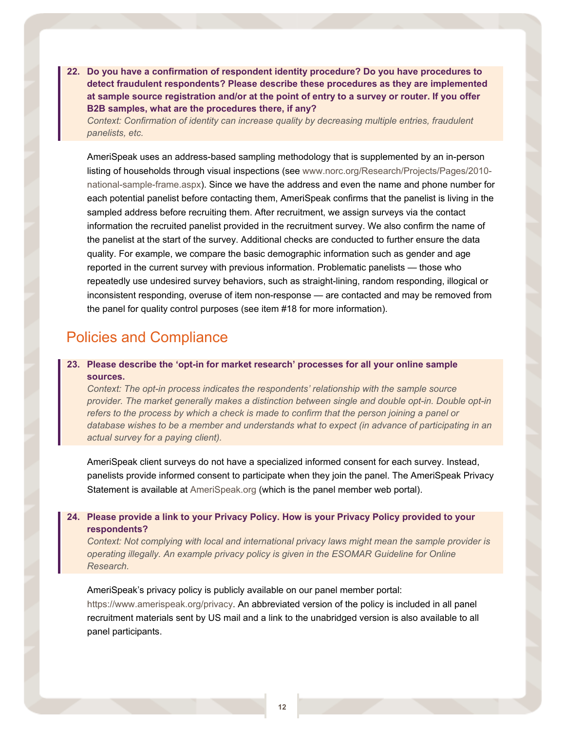**22. Do you have a confirmation of respondent identity procedure? Do you have procedures to detect fraudulent respondents? Please describe these procedures as they are implemented at sample source registration and/or at the point of entry to a survey or router. If you offer B2B samples, what are the procedures there, if any?** 

*Context: Confirmation of identity can increase quality by decreasing multiple entries, fraudulent panelists, etc.* 

AmeriSpeak uses an address-based sampling methodology that is supplemented by an in-person listing of households through visual inspections (see [www.norc.org/Research/Projects/Pages/2010](http://www.norc.org/Research/Projects/Pages/2010-national-sample-frame.aspx) [national-sample-frame.aspx\)](http://www.norc.org/Research/Projects/Pages/2010-national-sample-frame.aspx). Since we have the address and even the name and phone number for each potential panelist before contacting them, AmeriSpeak confirms that the panelist is living in the sampled address before recruiting them. After recruitment, we assign surveys via the contact information the recruited panelist provided in the recruitment survey. We also confirm the name of the panelist at the start of the survey. Additional checks are conducted to further ensure the data quality. For example, we compare the basic demographic information such as gender and age reported in the current survey with previous information. Problematic panelists — those who repeatedly use undesired survey behaviors, such as straight-lining, random responding, illogical or inconsistent responding, overuse of item non-response — are contacted and may be removed from the panel for quality control purposes (see item #18 for more information).

## Policies and Compliance

### **23. Please describe the 'opt-in for market research' processes for all your online sample sources.**

*Context: The opt-in process indicates the respondents' relationship with the sample source provider. The market generally makes a distinction between single and double opt-in. Double opt-in refers to the process by which a check is made to confirm that the person joining a panel or database wishes to be a member and understands what to expect (in advance of participating in an actual survey for a paying client).*

AmeriSpeak client surveys do not have a specialized informed consent for each survey. Instead, panelists provide informed consent to participate when they join the panel. The AmeriSpeak Privacy Statement is available at [AmeriSpeak.org](http://www.amerispeak.org/) (which is the panel member web portal).

### **24. Please provide a link to your Privacy Policy. How is your Privacy Policy provided to your respondents?**

*Context: Not complying with local and international privacy laws might mean the sample provider is operating illegally. An example privacy policy is given in the ESOMAR Guideline for Online Research.*

AmeriSpeak's privacy policy is publicly available on our panel member portal:

[https://www.amerispeak.org/privacy.](https://www.amerispeak.org/privacy) An abbreviated version of the policy is included in all panel recruitment materials sent by US mail and a link to the unabridged version is also available to all panel participants.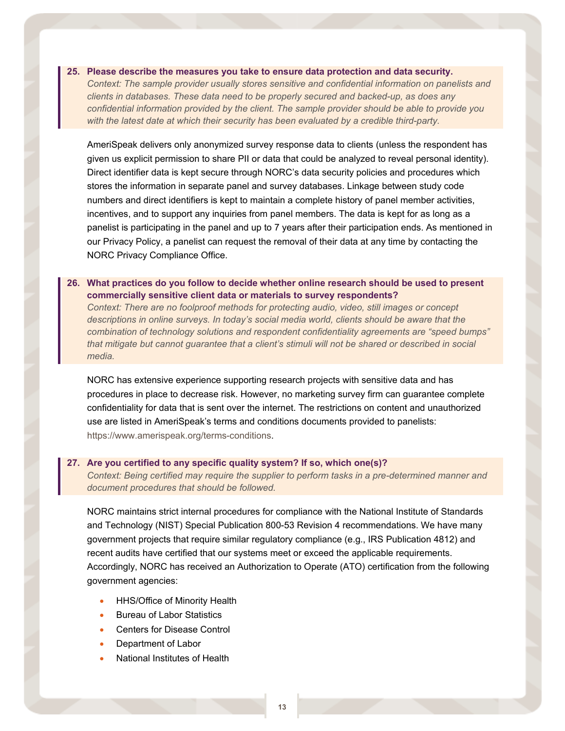#### **25. Please describe the measures you take to ensure data protection and data security.**

*Context: The sample provider usually stores sensitive and confidential information on panelists and clients in databases. These data need to be properly secured and backed-up, as does any confidential information provided by the client. The sample provider should be able to provide you with the latest date at which their security has been evaluated by a credible third-party.*

AmeriSpeak delivers only anonymized survey response data to clients (unless the respondent has given us explicit permission to share PII or data that could be analyzed to reveal personal identity). Direct identifier data is kept secure through NORC's data security policies and procedures which stores the information in separate panel and survey databases. Linkage between study code numbers and direct identifiers is kept to maintain a complete history of panel member activities, incentives, and to support any inquiries from panel members. The data is kept for as long as a panelist is participating in the panel and up to 7 years after their participation ends. As mentioned in our Privacy Policy, a panelist can request the removal of their data at any time by contacting the NORC Privacy Compliance Office.

#### **26. What practices do you follow to decide whether online research should be used to present commercially sensitive client data or materials to survey respondents?**

*Context: There are no foolproof methods for protecting audio, video, still images or concept descriptions in online surveys. In today's social media world, clients should be aware that the combination of technology solutions and respondent confidentiality agreements are "speed bumps" that mitigate but cannot guarantee that a client's stimuli will not be shared or described in social media.*

NORC has extensive experience supporting research projects with sensitive data and has procedures in place to decrease risk. However, no marketing survey firm can guarantee complete confidentiality for data that is sent over the internet. The restrictions on content and unauthorized use are listed in AmeriSpeak's terms and conditions documents provided to panelists: [https://www.amerispeak.org/terms-conditions.](https://www.amerispeak.org/terms-conditions)

#### **27. Are you certified to any specific quality system? If so, which one(s)?**

*Context: Being certified may require the supplier to perform tasks in a pre-determined manner and document procedures that should be followed.* 

NORC maintains strict internal procedures for compliance with the National Institute of Standards and Technology (NIST) Special Publication 800-53 Revision 4 recommendations. We have many government projects that require similar regulatory compliance (e.g., IRS Publication 4812) and recent audits have certified that our systems meet or exceed the applicable requirements. Accordingly, NORC has received an Authorization to Operate (ATO) certification from the following government agencies:

- HHS/Office of Minority Health
- Bureau of Labor Statistics
- Centers for Disease Control
- Department of Labor
- National Institutes of Health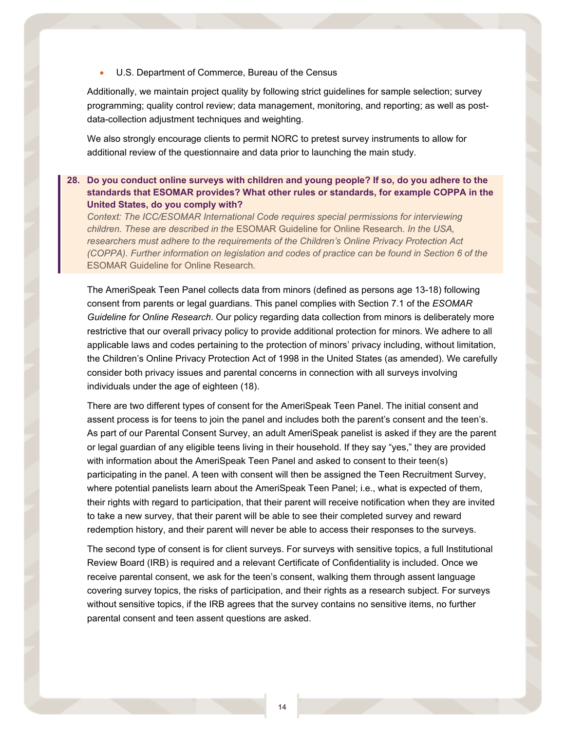• U.S. Department of Commerce, Bureau of the Census

Additionally, we maintain project quality by following strict guidelines for sample selection; survey programming; quality control review; data management, monitoring, and reporting; as well as postdata-collection adjustment techniques and weighting.

We also strongly encourage clients to permit NORC to pretest survey instruments to allow for additional review of the questionnaire and data prior to launching the main study.

#### **28. Do you conduct online surveys with children and young people? If so, do you adhere to the standards that ESOMAR provides? What other rules or standards, for example COPPA in the United States, do you comply with?**

*Context: The ICC/ESOMAR International Code requires special permissions for interviewing children. These are described in the* [ESOMAR Guideline for Online Research](https://www.esomar.org/uploads/public/knowledge-and-standards/codes-and-guidelines/ESOMAR-GRBN-Online-Research-Guideline-October-2015.pdf)*. In the USA, researchers must adhere to the requirements of the Children's Online Privacy Protection Act (COPPA). Further information on legislation and codes of practice can be found in Section 6 of the*  [ESOMAR Guideline for Online Research](https://www.esomar.org/uploads/public/knowledge-and-standards/codes-and-guidelines/ESOMAR-GRBN-Online-Research-Guideline-October-2015.pdf)*.*

The AmeriSpeak Teen Panel collects data from minors (defined as persons age 13-18) following consent from parents or legal guardians. This panel complies with Section 7.1 of the *ESOMAR Guideline for Online Research*. Our policy regarding data collection from minors is deliberately more restrictive that our overall privacy policy to provide additional protection for minors. We adhere to all applicable laws and codes pertaining to the protection of minors' privacy including, without limitation, the Children's Online Privacy Protection Act of 1998 in the United States (as amended). We carefully consider both privacy issues and parental concerns in connection with all surveys involving individuals under the age of eighteen (18).

There are two different types of consent for the AmeriSpeak Teen Panel. The initial consent and assent process is for teens to join the panel and includes both the parent's consent and the teen's. As part of our Parental Consent Survey, an adult AmeriSpeak panelist is asked if they are the parent or legal guardian of any eligible teens living in their household. If they say "yes," they are provided with information about the AmeriSpeak Teen Panel and asked to consent to their teen(s) participating in the panel. A teen with consent will then be assigned the Teen Recruitment Survey, where potential panelists learn about the AmeriSpeak Teen Panel; i.e., what is expected of them, their rights with regard to participation, that their parent will receive notification when they are invited to take a new survey, that their parent will be able to see their completed survey and reward redemption history, and their parent will never be able to access their responses to the surveys.

The second type of consent is for client surveys. For surveys with sensitive topics, a full Institutional Review Board (IRB) is required and a relevant Certificate of Confidentiality is included. Once we receive parental consent, we ask for the teen's consent, walking them through assent language covering survey topics, the risks of participation, and their rights as a research subject. For surveys without sensitive topics, if the IRB agrees that the survey contains no sensitive items, no further parental consent and teen assent questions are asked.